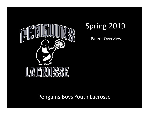

# Spring 2019

Parent Overview

Penguins Boys Youth Lacrosse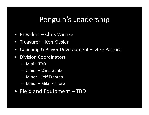# Penguin's Leadership

- $\bullet$ President – Chris Wienke
- $\bullet$ Treasurer – Ken Kiesler
- $\bullet$ Coaching & Player Development – Mike Pastore
- $\bullet$  Division Coordinators
	- –Mini – TBD
	- Junior Chris Gantz
	- Minor Jeff Franzen
	- Major Mike Pastore
- Field and Equipment TBD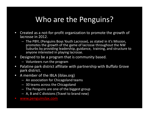# Who are the Penguins?

- $\bullet$  Created as a not-for-profit organization to promote the growth of lacrosse in 2012.
	- The PBYL (Penguins Boys Youth Lacrosse), as stated in it's Mission, promotes the growth of the game of lacrosse throughout the NW Suburbs by providing leadership, guidance, training, and structure to anyone interested in playing lacrosse.
- $\bullet$  Designed to be a program that is community based.
	- Volunteers run the program
- Palatine park district affiliate with partnership with Buffalo Grove  $\bullet$ park district.
- $\bullet$  A member of the IBLA (iblax.org)
	- An association for Chicagoland teams
	- 30 teams across the Chicagoland
	- The Penguins are one of the biggest group
	- A, B and C divisions (Travel to brand new)
- •www.penguinslax.com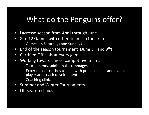# What do the Penguins offer?

- $\bullet$ Lacrosse season from April through June
- 8 to 12 Games with other teams in the area $\bullet$ 
	- $\mathcal{L}_{\mathcal{A}}$ Games on Saturdays and Sundays
- $\bullet$  $\bullet$  End of the season tournament (June 8<sup>th</sup> and 9<sup>th</sup>)
- $\bullet$ Certified Officials at every game
- Working towards more competitive teams $\bullet$ 
	- –Tournaments, additional scrimmages
	- $\mathcal{L}_{\mathcal{A}}$ - Experienced coaches to help with practice plans and overall player and coach development.
	- $\mathcal{L}_{\mathcal{A}}$ - Coaching clinics
- $\bullet$ Summer and Winter Tournaments
- $\bullet$ Off season clinics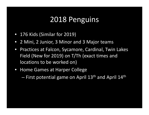# 2018 Penguins

- 176 Kids (Similar for 2019)
- 2 Mini, 2 Junior, 3 Minor and 3 Major teams
- $\bullet$  Practices at Falcon, Sycamore, Cardinal, Twin LakesField (New for 2019) on T/Th (exact times and locations to be worked on)
- Home Games at Harper College

 $-$  First potential game on April  $13^{\text{th}}$  and April  $14^{\text{th}}$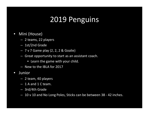# 2019 Penguins

- $\bullet$  Mini (House)
	- 2 teams, 22 players
	- 1st/2nd Grade
	- 7 v 7 Game play (2, 2, 2 & Goalie)
	- Great opportunity to start as an assistant coach.
		- Learn the game with your child.
	- New to the IBLA for 2017
- $\bullet$  Junior
	- 2 team, 40 players
	- 1 A and 1 C team.
	- 3rd/4th Grade
	- 10 v 10 and No Long Poles, Sticks can be between 38 42 inches.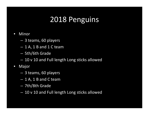# 2018 Penguins

#### $\bullet$ Minor

- 3 teams, 60 players
- $-1$  A, 1 B and 1 C team
- 5th/6th Grade
- $-$  10 v 10 and Full length Long sticks allowed
- $\bullet$  Major
	- $\mathcal{L}_{\mathcal{A}}$ 3 teams, 60 players
	- $\mathcal{L}_{\mathcal{A}}$  $-$  1 A, 1 B and C team
	- –7th/8th Grade
	- – $-$  10 v 10 and Full length Long sticks allowed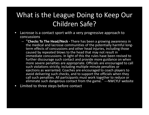# What is the League Doing to Keep Our Children Safe?

- $\bullet$  Lacrosse is a contact sport with a very progressive approach to concussions
	- –"**Checks To The Head/Neck -** There has been a growing awareness in the medical and lacrosse communities of the potentially harmful longterm effects of concussions and other head injuries, including those caused by repeated blows to the head that may not result in immediate concussions. In light of this the rules have been revised to further discourage such contact and provide more guidance on when more severe penalties are appropriate. Officials are encouraged to call such violations strictly, including multiple minute penalties or ejections as warranted. Coaches are encouraged to coach players to avoid delivering such checks, and to support the officials when they call such penalties. All participants must work together to reduce or eliminate such dangerous contact from the game." ---NWCYLF website
- $\bullet$ Limited to three steps before contact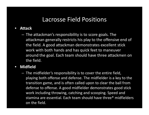### Lacrosse Field Positions

#### $\bullet$ **Attack**

 $\mathcal{L}_{\mathcal{A}}$  , where  $\mathcal{L}_{\mathcal{A}}$  is the set of the set of the set of the set of the set of the set of the set of the set of the set of the set of the set of the set of the set of the set of the set of the set of the - The attackman's responsibility is to score goals. The attackman generally restricts his play to the offensive end of the field. A good attackman demonstrates excellent stick work with both hands and has quick feet to maneuveraround the goal. Each team should have three attackmen on the field.

#### $\bullet$ **Midfield**

 $\mathcal{L}_{\mathcal{A}}$  $-$  The midfielder's responsibility is to cover the entire field, playing both offense and defense. The midfielder is a key to the transition game, and is often called upon to clear the ball from defense to offense. A good midfielder demonstrates good stick work including throwing, catching and scooping. Speed and stamina are essential. Each team should have three\* midfielders on the field.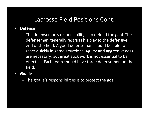## Lacrosse Field Positions Cont.

- $\bullet$  **Defense** 
	- The defenseman's responsibility is to defend the goal. The defenseman generally restricts his play to the defensive end of the field. A good defenseman should be able to react quickly in game situations. Agility and aggressiveness are necessary, but great stick work is not essential to be effective. Each team should have three defensemen on the field.
- • **Goalie**
	- – $-$  The goalie's responsibilities is to protect the goal.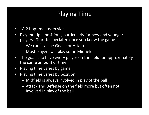## Playing Time

- $\bullet$ 18-21 optimal team size
- $\bullet$  Play multiple positions, particularly for new and younger players. Start to specialize once you know the game.
	- We can't all be Goalie or Attack
	- Most players will play some Midfield
- • The goal is to have every player on the field for approximately the same amount of time.
- $\bullet$ Playing time varies by game
- $\bullet$  Playing time varies by position
	- Midfield is always involved in play of the ball
	- Attack and Defense on the field more but often not involved in play of the ball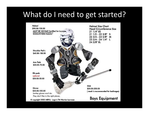## What do I need to get started?

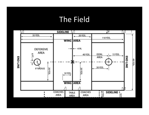## The Field

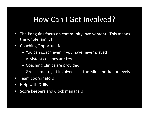# How Can I Get Involved?

- $\bullet$  The Penguins focus on community involvement. This means the whole family!
- $\bullet$  Coaching Opportunities
	- $\mathcal{L}_{\mathcal{A}}$  $-$  You can coach even if you have never played!
	- –Assistant coaches are key
	- – $-$  Coaching Clinics are provided
	- $-$  Great time to get involved is at the Mini and Junior levels.
- $\bullet$ Team coordinators
- $\bullet$ Help with Drills
- $\bullet$ Score keepers and Clock managers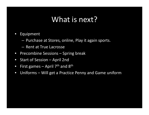## What is next?

- $\bullet$  Equipment
	- $-$  Purchase at Stores, online, Play it again sports.
	- Rent at True Lacrosse
- $\bullet$ Precombine Sessions – Spring break
- $\bullet$ Start of Session – April 2nd
- $\bullet$ First games – April  $7<sup>th</sup>$  and  $8<sup>th</sup>$
- $\bullet$ Uniforms – Will get a Practice Penny and Game uniform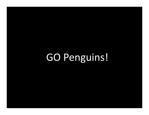GO Penguins!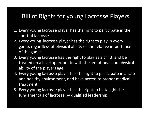## Bill of Rights for young Lacrosse Players

- 1. Every young lacrosse player has the right to participate in the sport of lacrosse
- 2. Every young lacrosse player has the right to play in every game, regardless of physical ability or the relative importance of the game.
- 3. Every young lacrosse has the right to play as a child, and be treated on a level appropriate with the emotional and physical ability of the players age.
- 4. Every young lacrosse player has the right to participate in a safe and healthy environment, and have access to proper medical treatment.
- 5. Every young lacrosse player has the right to be taught the fundamentals of lacrosse by qualified leadership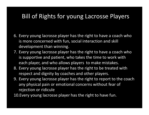## Bill of Rights for young Lacrosse Players

- 6. Every young lacrosse player has the right to have a coach who is more concerned with fun, social interaction and skill development than winning.
- 7. Every young lacrosse player has the right to have a coach who is supportive and patient, who takes the time to work with each player, and who allows players to make mistakes.
- 8. Every young lacrosse player has the right to be treated with respect and dignity by coaches and other players.
- 9. Every young lacrosse player has the right to report to the coach any physical pain or emotional concerns without fear of rejection or ridicule

10.Every young lacrosse player has the right to have fun.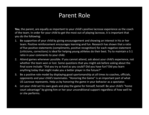## Parent Role

**You**, the parent, are equally as important to your child's positive lacrosse experience as the coach of the team. In order for your child to get the most out of playing lacrosse, it is important that you do the following:

- 1. Be supportive of your child by giving encouragement and showing an interest in his or her team. Positive reinforcement encourages learning and fun. Research has shown that a ratio of five positive statements (compliments, positive recognition) for each negative statement (criticisms, corrections) is ideal for helping young athletes do their best. Try to maintain a 5:1 ratio in your comments to your child.
- 2. Attend games whenever possible. If you cannot attend, ask about your child's experience, not whether the team won or lost. Some questions that you might ask before asking about the final score include: "Did you try as hard as you could? Did you have fun? Did you learn anything today that might make you a better player in the future?"
- 3. Be a positive role model by displaying good sportsmanship at all times to coaches, officials, opponents and your child's teammates. "Honoring the Game" is an important part of what US Lacrosse represents. Help us by honoring the game in your behavior as a spectator.
- 4. Let your child set his own goals and play the game for himself, herself. Be your child's "home court advantage" by giving him or her your unconditional support regardless of how well he or she performs.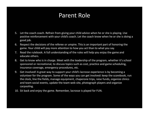## Parent Role

- 5. Let the coach coach. Refrain from giving your child advice when he or she is playing. Use positive reinforcement with your child's coach. Let the coach know when he or she is doing a good job.
- 6. Respect the decisions of the referee or umpire. This is an important part of honoring the game. Your child will pay more attention to how you act than to what you say.
- 7. Read the rulebook. A full understanding of the rules will help you enjoy the game and educate others.
- 8. Get to know who is in charge. Meet with the leadership of the program, whether it's school sponsored or recreational, to discuss topics such as cost, practice and game scheduling, insurance coverage, emergency procedures, etc.
- 9. Get involved! A great way to support your child's lacrosse experience is by becoming a volunteer for the program. Some of the ways you can get involved: keep the scorebook, run the clock, line the fields, manage equipment, chaperone trips, raise funds, organize clinics and team social events, update the team web site, photograph players and organize carpooling.
- 10. Sit back and enjoy the game. Remember, lacrosse is played for FUN.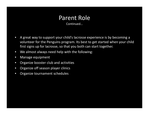### Parent Role Continued…

- $\bullet$  A great way to support your child's lacrosse experience is by becoming a volunteer for the Penguins program. Its best to get started when your child first signs up for lacrosse, so that you both can start together.
- $\bullet$ We almost always need help with the following:
- $\bullet$ Manage equipment
- $\bullet$ Organize booster club and activities
- $\bullet$ Organize off season player clinics
- $\bullet$ Organize tournament schedules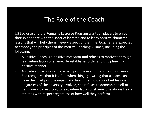### The Role of the Coach

US Lacrosse and the Penguins Lacrosse Program wants all players to enjoy their experience with the sport of lacrosse and to learn positive character lessons that will help them in every aspect of their life. Coaches are expected to embody the principles of the Positive Coaching Alliance, including the following:

- 1. A Positive Coach is a positive motivator and refuses to motivate through fear, intimidation or shame. He establishes order and discipline in a positive manner.
- 2. A Positive Coach works to remain positive even through losing streaks. She recognizes that it is often when things go wrong that a coach can have the most positive impact and teach the most important lessons. Regardless of the adversity involved, she refuses to demean herself or her players by resorting to fear, intimidation or shame. She always treats athletes with respect regardless of how well they perform.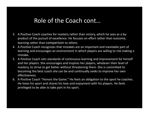## Role of the Coach cont…

- 3. A Positive Coach coaches for mastery rather than victory, which he sees as a byproduct of the pursuit of excellence. He focuses on effort rather than outcome, learning rather than comparison to others.
- 4. A Positive Coach recognizes that mistakes are an important and inevitable part of learning and encourages an environment in which players are willing to risk making a mistake.
- 5. A Positive Coach sets standards of continuous learning and improvement for herself and her players. She encourages and inspires her players, whatever their level of mastery, to strive to get better without threatening them. She is committed to becoming the best coach she can be and continually seeks to improve her own effectiveness.
- 6. A Positive Coach "Honors the Game." He feels an obligation to the sport he coaches. He loves his sport and shares his love and enjoyment with his players. He feels privileged to be able to take part in his sport.